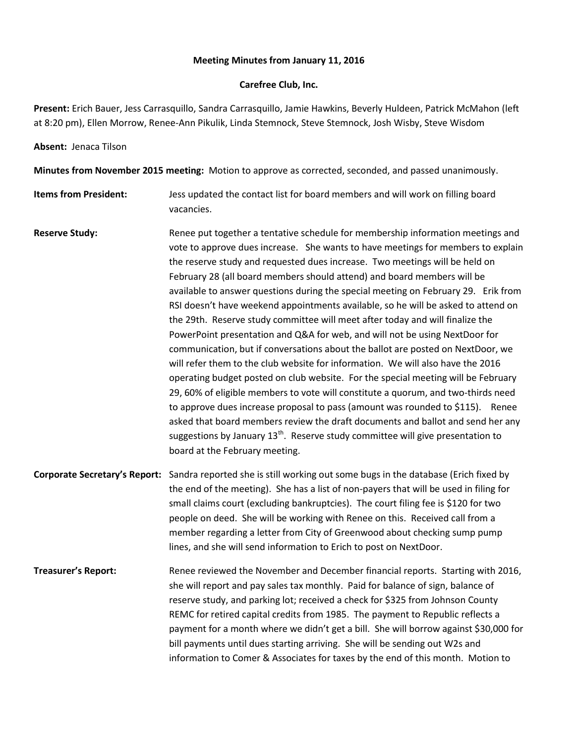## **Meeting Minutes from January 11, 2016**

## **Carefree Club, Inc.**

**Present:** Erich Bauer, Jess Carrasquillo, Sandra Carrasquillo, Jamie Hawkins, Beverly Huldeen, Patrick McMahon (left at 8:20 pm), Ellen Morrow, Renee-Ann Pikulik, Linda Stemnock, Steve Stemnock, Josh Wisby, Steve Wisdom

## **Absent:** Jenaca Tilson

**Minutes from November 2015 meeting:** Motion to approve as corrected, seconded, and passed unanimously.

- **Items from President:** Jess updated the contact list for board members and will work on filling board vacancies.
- Reserve Study: Renee put together a tentative schedule for membership information meetings and vote to approve dues increase. She wants to have meetings for members to explain the reserve study and requested dues increase. Two meetings will be held on February 28 (all board members should attend) and board members will be available to answer questions during the special meeting on February 29. Erik from RSI doesn't have weekend appointments available, so he will be asked to attend on the 29th. Reserve study committee will meet after today and will finalize the PowerPoint presentation and Q&A for web, and will not be using NextDoor for communication, but if conversations about the ballot are posted on NextDoor, we will refer them to the club website for information. We will also have the 2016 operating budget posted on club website. For the special meeting will be February 29, 60% of eligible members to vote will constitute a quorum, and two-thirds need to approve dues increase proposal to pass (amount was rounded to \$115). Renee asked that board members review the draft documents and ballot and send her any suggestions by January 13<sup>th</sup>. Reserve study committee will give presentation to board at the February meeting.
- **Corporate Secretary's Report:** Sandra reported she is still working out some bugs in the database (Erich fixed by the end of the meeting). She has a list of non-payers that will be used in filing for small claims court (excluding bankruptcies). The court filing fee is \$120 for two people on deed. She will be working with Renee on this. Received call from a member regarding a letter from City of Greenwood about checking sump pump lines, and she will send information to Erich to post on NextDoor.
- **Treasurer's Report:** Renee reviewed the November and December financial reports. Starting with 2016, she will report and pay sales tax monthly. Paid for balance of sign, balance of reserve study, and parking lot; received a check for \$325 from Johnson County REMC for retired capital credits from 1985. The payment to Republic reflects a payment for a month where we didn't get a bill. She will borrow against \$30,000 for bill payments until dues starting arriving. She will be sending out W2s and information to Comer & Associates for taxes by the end of this month. Motion to